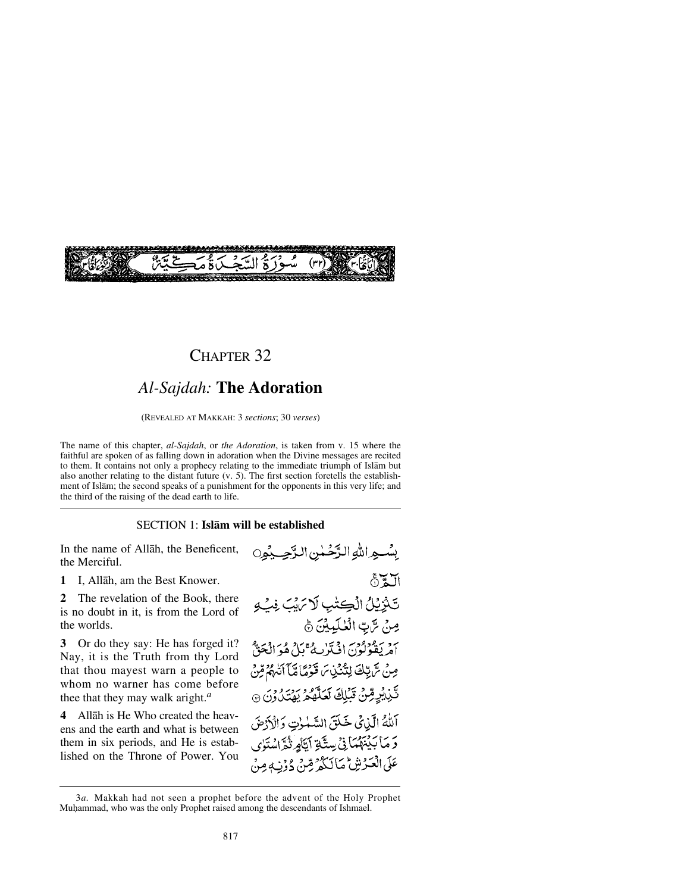

## CHAPTER 32

# *Al-Sajdah:* **The Adoration**

(REVEALED AT MAKKAH: 3 *sections*; 30 *verses*)

The name of this chapter, *al-Sajdah*, or *the Adoration*, is taken from v. 15 where the faithful are spoken of as falling down in adoration when the Divine messages are recited to them. It contains not only a prophecy relating to the immediate triumph of Islåm but also another relating to the distant future (v. 5). The first section foretells the establishment of Islåm; the second speaks of a punishment for the opponents in this very life; and the third of the raising of the dead earth to life.

#### SECTION 1: **Islåm will be established**

In the name of Allåh, the Beneficent, the Merciful.

**1** I, Allåh, am the Best Knower.

**2** The revelation of the Book, there is no doubt in it, is from the Lord of the worlds.

**3** Or do they say: He has forged it? Nay, it is the Truth from thy Lord that thou mayest warn a people to whom no warner has come before thee that they may walk aright.*<sup>a</sup>*

**4** Allåh is He Who created the heavens and the earth and what is between them in six periods, and He is established on the Throne of Power. You

بِسْبِهِ اللَّهِ الدَّخْسٰنِ الدَّجِبِيْمِينِ  $\delta \mathbf{Z}$ تَنْزِيْلُ الْكِتْبِ لَا يَهْبَ فِبْ و مِنْ سَّ بِّ الْعُلَيِينَ ﴾ 1 مربوروس الحكرار في محمد الحقّ مِنْ سَّ تِبْكَ لِنُنْذِينَ قَوْمًا مَّآ أَتَّهُمُّ مِّنْ تَّنِ يُرٍمِّنُ تَبۡلِكَ لَعَلَّهُمُ يَهۡتَدُونَ ۞ اللهُ الَّذِي خَلَقَ السَّلْوٰتِ وَالْأَرْضَ رَ مَا بَيْنَهُمَانِيْ سِتَّةِ أَيَّامٍ ثُمَّ اسْتَوْى عَلَى الْعَيْرِ نِيْنٌ مَا لَكُمْ صِّنْ دُوْنٍ مِنْ

<sup>3</sup>*a.* Makkah had not seen a prophet before the advent of the Holy Prophet Muhammad, who was the only Prophet raised among the descendants of Ishmael.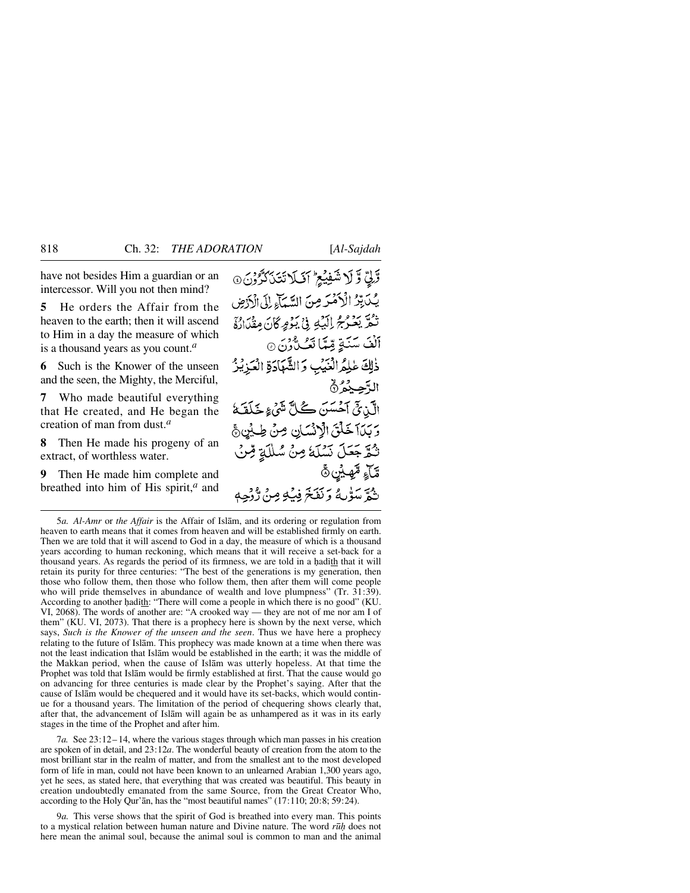have not besides Him a guardian or an intercessor. Will you not then mind?

**5** He orders the Affair from the heaven to the earth; then it will ascend to Him in a day the measure of which is a thousand years as you count.*<sup>a</sup>*

**6** Such is the Knower of the unseen and the seen, the Mighty, the Merciful,

**7** Who made beautiful everything that He created, and He began the creation of man from dust.*<sup>a</sup>*

**8** Then He made his progeny of an extract, of worthless water.

**9** Then He made him complete and breathed into him of His spirit,*<sup>a</sup>* and

وَّلِيِّ وَّ لَا شَفِيْعِ ۚ أَفَيَلَا تَتَنَاكُرُوْنَ ۞ يُكَبِّرُ الْأَهْرَضِ السَّيَاءِ إِلَى الْأَرْضِ تُمَّ بَعُرْجُ إِلَيْهِ فِيْ بَوْمٍ كَانَ مِقْدَارُةَ أَلْفَ سَنَةٍ قِيمًا تَعُبُّدُنَ۞ ذٰلِكَ عٰلِمُ الْغَيْبِ وَالشَّهَادَةِ الْعَزِيْزُ الأجبدُنُ الَّذِيْنَ آَحَسَنَ كُلَّ شَيْءٍ خَلَقَةَ وَبَدَآ خَلْقَ الْإِنْسَانِ مِنْ طِيْنِ ﴾ ثُمَّ جَعَلَ نَسْلَهُ مِنْ سُلَلَةٍ مِّنْ ڦَٓٲۦۭۣ؋ٞڝؽڹ۞ تْجَّ مَيْوَٰ بِهُ وَ نَفَخَ فِيۡ مِنۡ وَ وَٰ وَٰ حِمَّٰ

7*a.* See 23:12– 14, where the various stages through which man passes in his creation are spoken of in detail, and 23:12*a*. The wonderful beauty of creation from the atom to the most brilliant star in the realm of matter, and from the smallest ant to the most developed form of life in man, could not have been known to an unlearned Arabian 1,300 years ago, yet he sees, as stated here, that everything that was created was beautiful. This beauty in creation undoubtedly emanated from the same Source, from the Great Creator Who, according to the Holy Qur'ån, has the "most beautiful names" (17:110; 20:8; 59:24).

9*a.* This verse shows that the spirit of God is breathed into every man. This points to a mystical relation between human nature and Divine nature. The word *r∂√* does not here mean the animal soul, because the animal soul is common to man and the animal

<sup>5</sup>*a. Al-Amr* or *the Affair* is the Affair of Islåm, and its ordering or regulation from heaven to earth means that it comes from heaven and will be established firmly on earth. Then we are told that it will ascend to God in a day, the measure of which is a thousand years according to human reckoning, which means that it will receive a set-back for a thousand years. As regards the period of its firmness, we are told in a hadith that it will retain its purity for three centuries: "The best of the generations is my generation, then those who follow them, then those who follow them, then after them will come people who will pride themselves in abundance of wealth and love plumpness" (Tr. 31:39). According to another hadith: "There will come a people in which there is no good" (KU. VI, 2068). The words of another are: "A crooked way — they are not of me nor am I of them" (KU. VI, 2073). That there is a prophecy here is shown by the next verse, which says, *Such is the Knower of the unseen and the seen*. Thus we have here a prophecy relating to the future of Islåm. This prophecy was made known at a time when there was not the least indication that Islåm would be established in the earth; it was the middle of the Makkan period, when the cause of Islåm was utterly hopeless. At that time the Prophet was told that Islåm would be firmly established at first. That the cause would go on advancing for three centuries is made clear by the Prophet's saying. After that the cause of Islåm would be chequered and it would have its set-backs, which would continue for a thousand years. The limitation of the period of chequering shows clearly that, after that, the advancement of Islåm will again be as unhampered as it was in its early stages in the time of the Prophet and after him.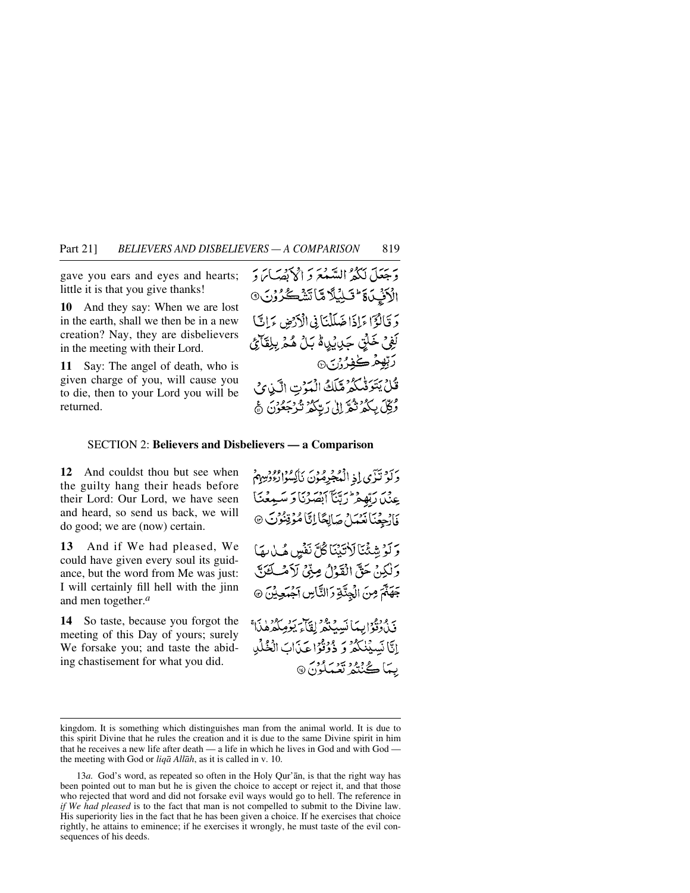gave you ears and eyes and hearts; little it is that you give thanks!

**10** And they say: When we are lost in the earth, shall we then be in a new creation? Nay, they are disbelievers in the meeting with their Lord.

**11** Say: The angel of death, who is given charge of you, will cause you to die, then to your Lord you will be returned.

وَجَعَلَ لَكُمْ السَّعْعَ وَ الْإِكْفَ بِمَا رَ الْأَنْبِ فَاتَّ لِيُلَّا مَّا تَشْكُرُوْنَ ۞ دَ قَالَوْٓا مَاذَا ضَلَلْنَا فِي الْآرْضِ بِمَانَيْا لَفِيْ خَلْتٍي جَدِيْدِيهِ مَّا بِنْ هُمْ بِبِلِقَائِي رَبِّهِعُرْكَـفِيرُوْرَ جِ قُلْ يَتَوَفَّى كُمُ مَّلَكُ الْمَوْتِ الَّيْوِي وُكِّلَ بِبِكُمْ نَثْمٌ إِلَىٰ رَبِّبِكُمْ نَزْجَعُونَ ۞

#### SECTION 2: **Believers and Disbelievers — a Comparison**

**12** And couldst thou but see when the guilty hang their heads before their Lord: Our Lord, we have seen and heard, so send us back, we will do good; we are (now) certain.

**13** And if We had pleased, We could have given every soul its guidance, but the word from Me was just: I will certainly fill hell with the jinn and men together.*<sup>a</sup>*

**14** So taste, because you forgot the meeting of this Day of yours; surely We forsake you; and taste the abiding chastisement for what you did.

وَلَوْ تَزَى إِذِ الْمُجْرِهُونَ نَاكِسُوْا يُؤْمِيهِمْ عِنْدَا رَبَّهِ فِرْ إِرِّيَّنَا أَبْصَرْنَا وَ سَيْعَتَنَا فَانْجِعْنَانْعَمَلْ صَالِحًا لِيَّا مُؤْقِنُوْنَ @ وَلَوْ شِئْنَا لَأْتَبْنَا كُلَّ نَفْسٍ هُيارِ مِمَّا وَلَكِنْ حَقَّ الْقَدْلُ مِنِّي لَأَمْكِ كَمَرَبَّ جَهَنَّمَ مِنَ الْجِنَّةِ وَالنَّاسِ آجُبَعِيْنَ ۞ يَّ دُوفُوا بِيمَا نَسْهُدُوْ لِقَيْلَ يَوْمِلُهُ هٰذَا بَنَ إِنَّا نَسِيَّنْكُمُ وَ ذُوْثَوُا عَذَابَ الْخُلْدِ يِهَا كُنْتُمْ تَعْمَلُونَ @

kingdom. It is something which distinguishes man from the animal world. It is due to this spirit Divine that he rules the creation and it is due to the same Divine spirit in him that he receives a new life after death — a life in which he lives in God and with God the meeting with God or *liqå Allåh*, as it is called in v. 10.

<sup>13</sup>*a.* God's word, as repeated so often in the Holy Qur'ån, is that the right way has been pointed out to man but he is given the choice to accept or reject it, and that those who rejected that word and did not forsake evil ways would go to hell. The reference in *if We had pleased* is to the fact that man is not compelled to submit to the Divine law. His superiority lies in the fact that he has been given a choice. If he exercises that choice rightly, he attains to eminence; if he exercises it wrongly, he must taste of the evil consequences of his deeds.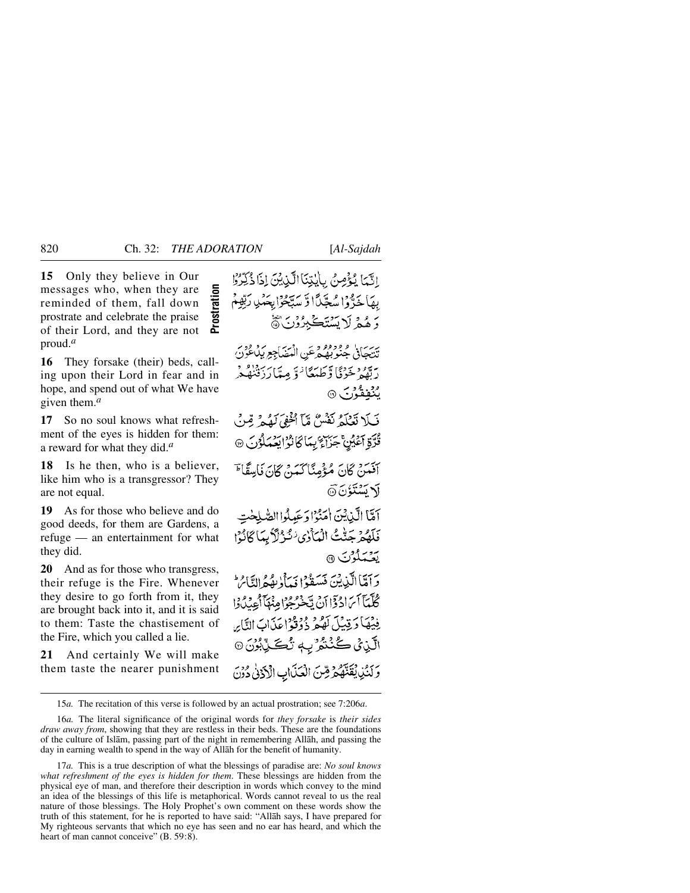**15** Only they believe in Our Prostration messages who, when they are **Prostration**reminded of them, fall down prostrate and celebrate the praise of their Lord, and they are not proud.*<sup>a</sup>*

**16** They forsake (their) beds, calling upon their Lord in fear and in hope, and spend out of what We have given them.*<sup>a</sup>*

**17** So no soul knows what refreshment of the eyes is hidden for them: a reward for what they did.*<sup>a</sup>*

**18** Is he then, who is a believer, like him who is a transgressor? They are not equal.

**19** As for those who believe and do good deeds, for them are Gardens, a refuge — an entertainment for what they did.

**20** And as for those who transgress, their refuge is the Fire. Whenever they desire to go forth from it, they are brought back into it, and it is said to them: Taste the chastisement of the Fire, which you called a lie.

**21** And certainly We will make them taste the nearer punishment

الَّيِّمَا يُؤْمِنُ بِالْبَنِّيَا الَّذِيْنَ إِذَا ذُكِّرُوْا بِهَاجَدٌّوۡۤا سُجِّيَّاۤا وَّ سَيَّجُوۡٓا بِحَمۡنِي رَبِّهِمۡمُ رَ هُمْ لَا يَسْتَكْبِرُوْنَ ﴾

يريب، وودوو و عن الهضاجع بيد قوم.<br>تنتجاني جنوبھ جرعن الهضاجع بياغون رَتَّهُمْ خَرْنَا وَّطَهَعَا ٰ وَ مِيَا َرَدَفْنُهُ ۖ م<sup>ع</sup>نده و بر ۱۹۰

فَبَلا نَعْلَمُ نَفْسٌ مَّآ أُخْفِيَ لَهُمْ قِنْ قُدَّةِ أَعْيُنَّ جَزَاءٌ بِمَا كَانُوُ ايَعْمَلُوُنَ ۞

أَفَعَيْنَ كَانَ مُؤْمِنًا كَعَدَ كَانَ فَاسِقَا ۖ **لَا يَسْتَؤْنَ** @

أَمَّا الَّذِيْنَ أُمَنُوْا دَعَيْلُوا الصَّلِحْتِ فَلَهُمْ جَنَّتُ الْمَأْرُى لِنُزْلَاَ بِمَا كَانُوْا يتعلون ١

برسمالين فن مَسَفَدُ إِسْرَفْهُ وَإِلَيْهِ مِنْ الْمَرْدِ كُلِّيَآَائِنَ ادْدَوْا أَنْ يَحْرُجُوْا مِنْهَآ أَعِدْدُوْا فِيْهَا دَيْنِيْلَ لَهُمْ ذُوْقَوْاعِدَابَ النَّابِرِ الَّذِيْ كُنْتُوُرِ بِهِ تُكَوِّيْشُ<sup>8</sup>نَ وَلَنُّذِيقَنَّهُمُ قِنَ الْعَلَّابِ الْأَذَنِي وُوَنَ

15*a.* The recitation of this verse is followed by an actual prostration; see 7:206*a*.

16*a.* The literal significance of the original words for *they forsake* is *their sides draw away from*, showing that they are restless in their beds. These are the foundations of the culture of Islåm, passing part of the night in remembering Allåh, and passing the day in earning wealth to spend in the way of Allåh for the benefit of humanity.

17*a.* This is a true description of what the blessings of paradise are: *No soul knows what refreshment of the eyes is hidden for them*. These blessings are hidden from the physical eye of man, and therefore their description in words which convey to the mind an idea of the blessings of this life is metaphorical. Words cannot reveal to us the real nature of those blessings. The Holy Prophet's own comment on these words show the truth of this statement, for he is reported to have said: "Allåh says, I have prepared for My righteous servants that which no eye has seen and no ear has heard, and which the heart of man cannot conceive" (B. 59:8).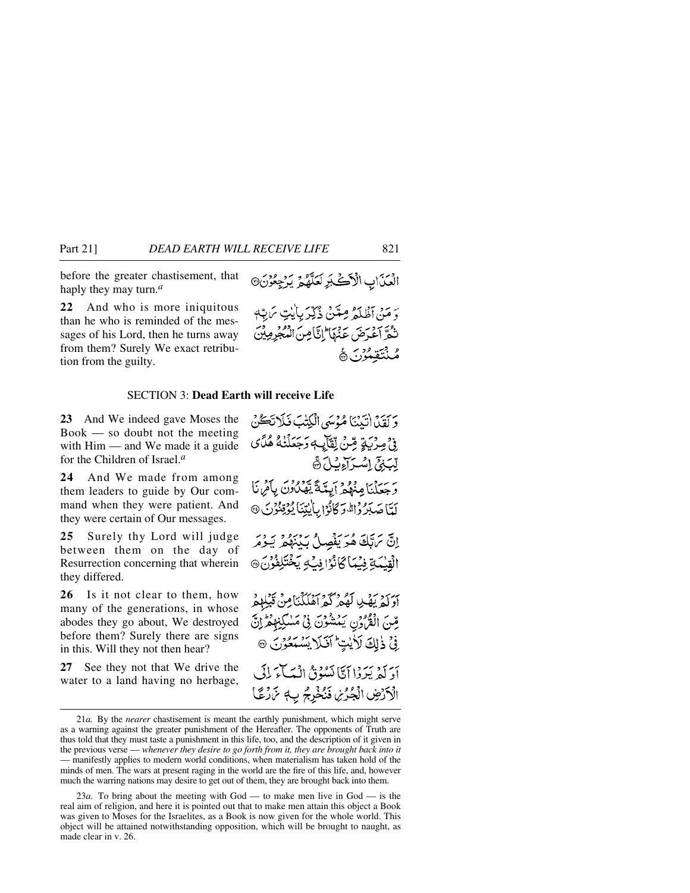before the greater chastisement, that haply they may turn.*<sup>a</sup>*

**22** And who is more iniquitous than he who is reminded of the messages of his Lord, then he turns away from them? Surely We exact retribution from the guilty.

### SECTION 3: **Dead Earth will receive Life**

**23** And We indeed gave Moses the Book — so doubt not the meeting with Him — and We made it a guide for the Children of Israel.*<sup>a</sup>*

**24** And We made from among them leaders to guide by Our command when they were patient. And they were certain of Our messages.

**25** Surely thy Lord will judge between them on the day of Resurrection concerning that wherein they differed.

**26** Is it not clear to them, how many of the generations, in whose abodes they go about, We destroyed before them? Surely there are signs in this. Will they not then hear?

**27** See they not that We drive the water to a land having no herbage, قِينَ الْقُرْوَنِ يَمْشُوْنَ فِي مَسْكِنِهِمْرِيْنَ فِي ذٰلِكَ لَأَيْتٍ أَفَلَا يَسْتَعْزَنَ ۞ أدَ لَمْ بَيْرَوْا أَمَّا نَسُوْقُ اِنْسَاءَ لِلَّهِ ۖ الْأَرْضِ الْجُرُيْنِ فَنُخْرِجُ بِ مَنْ رُعَّا



وَ مَنْ أَظْلَمْ مِعَنْنُ ذُكِّرَ بِالَّذِي مَرَبَّهِ تَثُمَّ آعَيْرَضَ عَنْهَا إِنَّامِينَ الْمُعْجَرِمِيْنَ مُنْتَقِيْنَ ﴾

وَ آَقَدْا أَنْدَيْنَا هُذْمَهِي الْبَكِتْبَ فَبِلَا تَڪُنْ

<sup>ِ</sup>وۡ ۡ مِرۡ بَبۡةٍ مِّنۡ لِّقَآيِ ۖ وَجَعَلۡنَٰهُ هُدَّىٰ لِّبَنِيِّ إِسْرَاءِ بِّلَ ۞ وَجَعَلْنَا مِنْهُمْ أَبِيَّةً يِّهَدْ ُوْنَ بِأَمْرِنَا لَّمَّا صَبَرُ وَالَّهُ وَكَانُوْا بِالْيِتِنَا يُؤْقِنُوْنَ @ إِنَّ تَرَتَّكَ هُوَ يَفْصِلُ بَدْنَهُمْ يَـوْمَر الْقِيْمَةِ فِيْمَاكَانُوْافِيْ وِيَخْتَلِفُوْنَ، آؤكم يَهْدِ لَهُمْ كَمْ آهُلَكْنَامِنْ قَبْلِهِمْ

<sup>21</sup>*a.* By the *nearer* chastisement is meant the earthly punishment, which might serve as a warning against the greater punishment of the Hereafter. The opponents of Truth are thus told that they must taste a punishment in this life, too, and the description of it given in the previous verse — *whenever they desire to go forth from it, they are brought back into it* — manifestly applies to modern world conditions, when materialism has taken hold of the minds of men. The wars at present raging in the world are the fire of this life, and, however much the warring nations may desire to get out of them, they are brought back into them.

<sup>23</sup>*a.* To bring about the meeting with God — to make men live in God — is the real aim of religion, and here it is pointed out that to make men attain this object a Book was given to Moses for the Israelites, as a Book is now given for the whole world. This object will be attained notwithstanding opposition, which will be brought to naught, as made clear in v. 26.